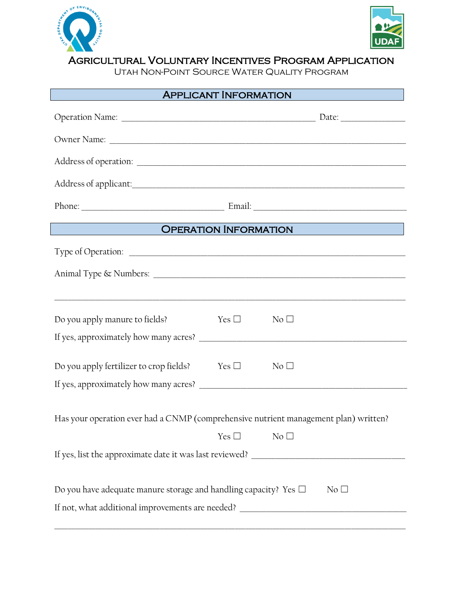



Agricultural Voluntary Incentives Program Application

Utah Non-Point Source Water Quality Program

| <b>APPLICANT INFORMATION</b>                                                             |               |                                                                                  |
|------------------------------------------------------------------------------------------|---------------|----------------------------------------------------------------------------------|
|                                                                                          |               |                                                                                  |
|                                                                                          |               |                                                                                  |
|                                                                                          |               |                                                                                  |
|                                                                                          |               |                                                                                  |
|                                                                                          |               |                                                                                  |
| OPERATION INFORMATION<br><u>an talan salah sahiji désa di ka</u>                         |               |                                                                                  |
| Type of Operation: Type of Operation:                                                    |               |                                                                                  |
|                                                                                          |               |                                                                                  |
|                                                                                          |               | ,我们也不能在这里的时候,我们也不能在这里的时候,我们也不能会在这里,我们也不能会不能会不能会不能会不能会不能会。""我们,我们也不能会不能会不能会不能会不能会 |
| Do you apply manure to fields?                                                           | Yes $\square$ | $\rm No$ $\Box$                                                                  |
|                                                                                          |               |                                                                                  |
| Do you apply fertilizer to crop fields? Yes $\Box$                                       |               | No <sub>1</sub>                                                                  |
|                                                                                          |               |                                                                                  |
| Has your operation ever had a CNMP (comprehensive nutrient management plan) written?     |               |                                                                                  |
|                                                                                          | Yes $\square$ | No <sub>1</sub>                                                                  |
|                                                                                          |               |                                                                                  |
|                                                                                          |               |                                                                                  |
| Do you have adequate manure storage and handling capacity? Yes $\Box$<br>No <sub>1</sub> |               |                                                                                  |
|                                                                                          |               |                                                                                  |
|                                                                                          |               |                                                                                  |